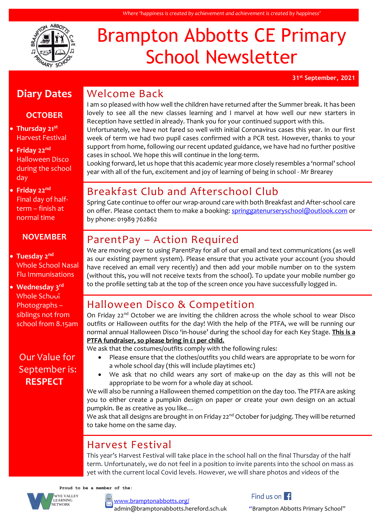

# Brampton Abbotts CE Primary School Newsletter

**31st September, 2021**

# **Diary Dates**

### **OCTOBER**

- **Thursday 21st** Harvest Festival
- **Friday 22nd** Halloween Disco during the school day
- **Friday 22nd** Final day of halfterm – finish at normal time

#### **NOVEMBER**

#### • **Tuesday 2nd** Whole School Nasal Flu Immunisations

• **Wednesday 3rd** Whole School Photographs – siblings not from school from 8.15am

### Our Value for September is: **RESPECT**

# Welcome Back

I am so pleased with how well the children have returned after the Summer break. It has been lovely to see all the new classes learning and I marvel at how well our new starters in Reception have settled in already. Thank you for your continued support with this.

Unfortunately, we have not fared so well with initial Coronavirus cases this year. In our first week of term we had two pupil cases confirmed with a PCR test. However, thanks to your support from home, following our recent updated guidance, we have had no further positive cases in school. We hope this will continue in the long-term.

Looking forward, let us hope that this academic year more closely resembles a 'normal' school year with all of the fun, excitement and joy of learning of being in school - Mr Brearey

# Breakfast Club and Afterschool Club

Spring Gate continue to offer our wrap-around care with both Breakfast and After-school care on offer. Please contact them to make a booking: [springgatenurseryschool@outlook.com](mailto:springgatenurseryschool@outlook.com) or by phone: 01989 762862

# ParentPay – Action Required

We are moving over to using ParentPay for all of our email and text communications (as well as our existing payment system). Please ensure that you activate your account (you should have received an email very recently) and then add your mobile number on to the system (without this, you will not receive texts from the school). To update your mobile number go to the profile setting tab at the top of the screen once you have successfully logged in.

# Halloween Disco & Competition

On Friday  $22^{nd}$  October we are inviting the children across the whole school to wear Disco outfits or Halloween outfits for the day! With the help of the PTFA, we will be running our normal annual Halloween Disco 'in-house' during the school day for each Key Stage. **This is a PTFA fundraiser, so please bring in £1 per child.**

We ask that the costumes/outfits comply with the following rules:

- Please ensure that the clothes/outfits you child wears are appropriate to be worn for a whole school day (this will include playtimes etc)
- We ask that no child wears any sort of make-up on the day as this will not be appropriate to be worn for a whole day at school.

We will also be running a Halloween themed competition on the day too. The PTFA are asking you to either create a pumpkin design on paper or create your own design on an actual pumpkin. Be as creative as you like…

We ask that all designs are brought in on Friday 22<sup>nd</sup> October for judging. They will be returned to take home on the same day.

# Harvest Festival

This year's Harvest Festival will take place in the school hall on the final Thursday of the half term. Unfortunately, we do not feel in a position to invite parents into the school on mass as yet with the current local Covid levels. However, we will share photos and videos of the

 **Proud to be a member of the:**



#### [www.bramptonabbotts.org/](http://www.bramptonabbotts.org/)

admin@bramptonabbotts.hereford.sch.uk "Brampton Abbotts Primary School"